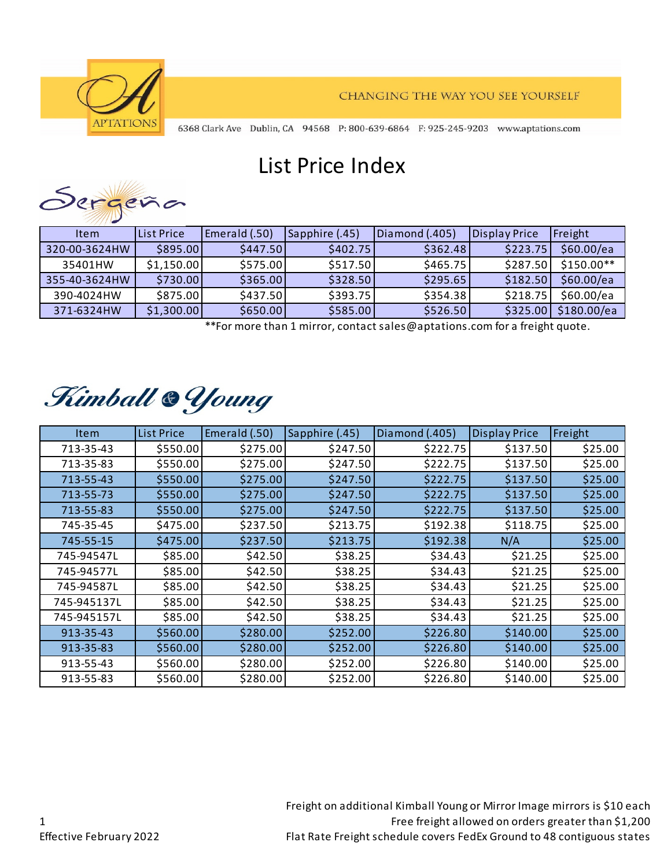

6368 Clark Ave Dublin, CA 94568 P: 800-639-6864 F: 925-245-9203 www.aptations.com

## List Price Index



| Item          | List Price | Emerald (.50) | Sapphire (.45) | Diamond (.405) | <b>Display Price</b> | Freight     |
|---------------|------------|---------------|----------------|----------------|----------------------|-------------|
| 320-00-3624HW | \$895.00   | \$447.50      | \$402.75       | \$362.48       | \$223.75             | \$60.00/ea  |
| 35401HW       | \$1,150.00 | \$575.00      | \$517.50       | \$465.75       | \$287.50             | $$150.00**$ |
| 355-40-3624HW | \$730.00   | \$365.00      | \$328.50       | \$295.65       | \$182.50             | \$60.00/ea  |
| 390-4024HW    | \$875.00   | \$437.50      | \$393.75       | \$354.38       | \$218.75             | \$60.00/ea  |
| 371-6324HW    | \$1,300.00 | \$650.00      | \$585.00       | \$526.50       | \$325.00             | \$180.00/ea |

\*\*For more than 1 mirror, contact sales@aptations.com for a freight quote.

## Kimball & Young

| <b>Item</b> | <b>List Price</b> | Emerald (.50) | Sapphire (.45) | Diamond (.405) | <b>Display Price</b> | Freight |
|-------------|-------------------|---------------|----------------|----------------|----------------------|---------|
| 713-35-43   | \$550.00          | \$275.00      | \$247.50       | \$222.75       | \$137.50             | \$25.00 |
| 713-35-83   | \$550.00          | \$275.00      | \$247.50       | \$222.75       | \$137.50             | \$25.00 |
| 713-55-43   | \$550.00          | \$275.00      | \$247.50       | \$222.75       | \$137.50             | \$25.00 |
| 713-55-73   | \$550.00          | \$275.00      | \$247.50       | \$222.75       | \$137.50             | \$25.00 |
| 713-55-83   | \$550.00          | \$275.00      | \$247.50       | \$222.75       | \$137.50             | \$25.00 |
| 745-35-45   | \$475.00          | \$237.50      | \$213.75       | \$192.38       | \$118.75             | \$25.00 |
| 745-55-15   | \$475.00          | \$237.50      | \$213.75       | \$192.38       | N/A                  | \$25.00 |
| 745-94547L  | \$85.00           | \$42.50       | \$38.25        | \$34.43        | \$21.25              | \$25.00 |
| 745-94577L  | \$85.00           | \$42.50       | \$38.25        | \$34.43        | \$21.25              | \$25.00 |
| 745-94587L  | \$85.00           | \$42.50       | \$38.25        | \$34.43        | \$21.25              | \$25.00 |
| 745-945137L | \$85.00           | \$42.50       | \$38.25        | \$34.43        | \$21.25              | \$25.00 |
| 745-945157L | \$85.00           | \$42.50       | \$38.25        | \$34.43        | \$21.25              | \$25.00 |
| 913-35-43   | \$560.00          | \$280.00      | \$252.00       | \$226.80       | \$140.00             | \$25.00 |
| 913-35-83   | \$560.00          | \$280.00      | \$252.00       | \$226.80       | \$140.00             | \$25.00 |
| 913-55-43   | \$560.00          | \$280.00      | \$252.00       | \$226.80       | \$140.00             | \$25.00 |
| 913-55-83   | \$560.00          | \$280.00      | \$252.00       | \$226.80       | \$140.00             | \$25.00 |

Freight on additional Kimball Young or Mirror Image mirrors is \$10 each Free freight allowed on orders greater than \$1,200 Flat Rate Freight schedule covers FedEx Ground to 48 contiguous states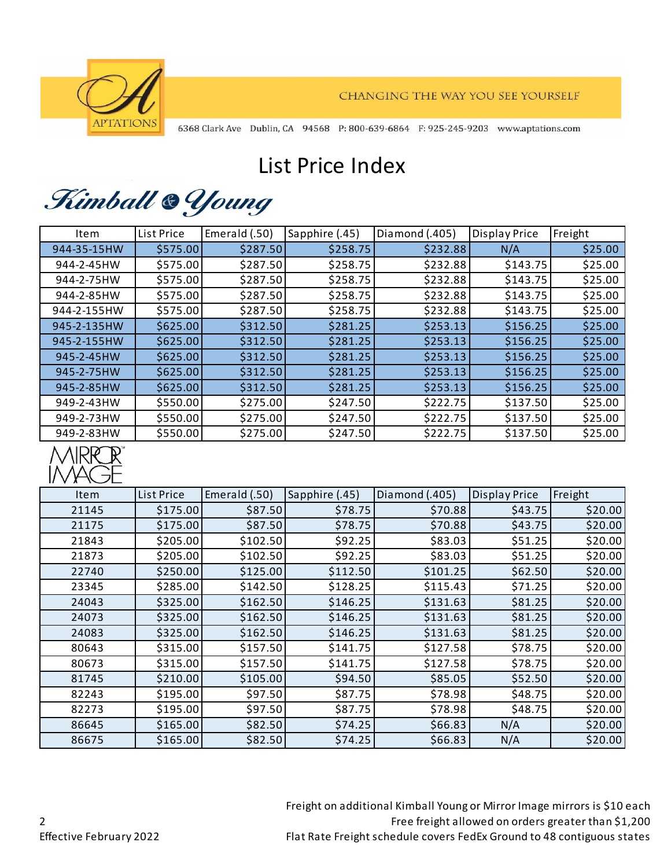

CHANGING THE WAY YOU SEE YOURSELF

6368 Clark Ave Dublin, CA 94568 P: 800-639-6864 F: 925-245-9203 www.aptations.com

## List Price Index

Kimball & Young

| Item        | List Price | Emerald (.50) | Sapphire (.45) | Diamond (.405) | <b>Display Price</b> | Freight |
|-------------|------------|---------------|----------------|----------------|----------------------|---------|
| 944-35-15HW | \$575.00   | \$287.50      | \$258.75       | \$232.88       | N/A                  | \$25.00 |
| 944-2-45HW  | \$575.00   | \$287.50      | \$258.75       | \$232.88       | \$143.75             | \$25.00 |
| 944-2-75HW  | \$575.00   | \$287.50      | \$258.75       | \$232.88       | \$143.75             | \$25.00 |
| 944-2-85HW  | \$575.00   | \$287.50      | \$258.75       | \$232.88       | \$143.75             | \$25.00 |
| 944-2-155HW | \$575.00   | \$287.50      | \$258.75       | \$232.88       | \$143.75             | \$25.00 |
| 945-2-135HW | \$625.00   | \$312.50      | \$281.25       | \$253.13       | \$156.25             | \$25.00 |
| 945-2-155HW | \$625.00   | \$312.50      | \$281.25       | \$253.13       | \$156.25             | \$25.00 |
| 945-2-45HW  | \$625.00   | \$312.50      | \$281.25       | \$253.13       | \$156.25             | \$25.00 |
| 945-2-75HW  | \$625.00   | \$312.50      | \$281.25       | \$253.13       | \$156.25             | \$25.00 |
| 945-2-85HW  | \$625.00   | \$312.50      | \$281.25       | \$253.13       | \$156.25             | \$25.00 |
| 949-2-43HW  | \$550.00   | \$275.00      | \$247.50       | \$222.75       | \$137.50             | \$25.00 |
| 949-2-73HW  | \$550.00   | \$275.00      | \$247.50       | \$222.75       | \$137.50             | \$25.00 |
| 949-2-83HW  | \$550.00   | \$275.00      | \$247.50       | \$222.75       | \$137.50             | \$25.00 |



| Item  | <b>List Price</b> | Emerald (.50) | Sapphire (.45) | Diamond (.405) | <b>Display Price</b> | Freight |
|-------|-------------------|---------------|----------------|----------------|----------------------|---------|
| 21145 | \$175.00          | \$87.50       | \$78.75        | \$70.88        | \$43.75              | \$20.00 |
| 21175 | \$175.00          | \$87.50       | \$78.75        | \$70.88        | \$43.75              | \$20.00 |
| 21843 | \$205.00          | \$102.50      | \$92.25        | \$83.03        | \$51.25              | \$20.00 |
| 21873 | \$205.00          | \$102.50      | \$92.25        | \$83.03        | \$51.25              | \$20.00 |
| 22740 | \$250.00          | \$125.00      | \$112.50       | \$101.25       | \$62.50              | \$20.00 |
| 23345 | \$285.00          | \$142.50      | \$128.25       | \$115.43       | \$71.25              | \$20.00 |
| 24043 | \$325.00          | \$162.50      | \$146.25       | \$131.63       | \$81.25              | \$20.00 |
| 24073 | \$325.00          | \$162.50      | \$146.25       | \$131.63       | \$81.25              | \$20.00 |
| 24083 | \$325.00          | \$162.50      | \$146.25       | \$131.63       | \$81.25              | \$20.00 |
| 80643 | \$315.00          | \$157.50      | \$141.75       | \$127.58       | \$78.75              | \$20.00 |
| 80673 | \$315.00          | \$157.50      | \$141.75       | \$127.58       | \$78.75              | \$20.00 |
| 81745 | \$210.00          | \$105.00      | \$94.50        | \$85.05        | \$52.50              | \$20.00 |
| 82243 | \$195.00          | \$97.50       | \$87.75        | \$78.98        | \$48.75              | \$20.00 |
| 82273 | \$195.00          | \$97.50       | \$87.75        | \$78.98        | \$48.75              | \$20.00 |
| 86645 | \$165.00          | \$82.50       | \$74.25        | \$66.83        | N/A                  | \$20.00 |
| 86675 | \$165.00          | \$82.50       | \$74.25        | \$66.83        | N/A                  | \$20.00 |

Freight on additional Kimball Young or Mirror Image mirrors is \$10 each Free freight allowed on orders greater than \$1,200 Flat Rate Freight schedule covers FedEx Ground to 48 contiguous states